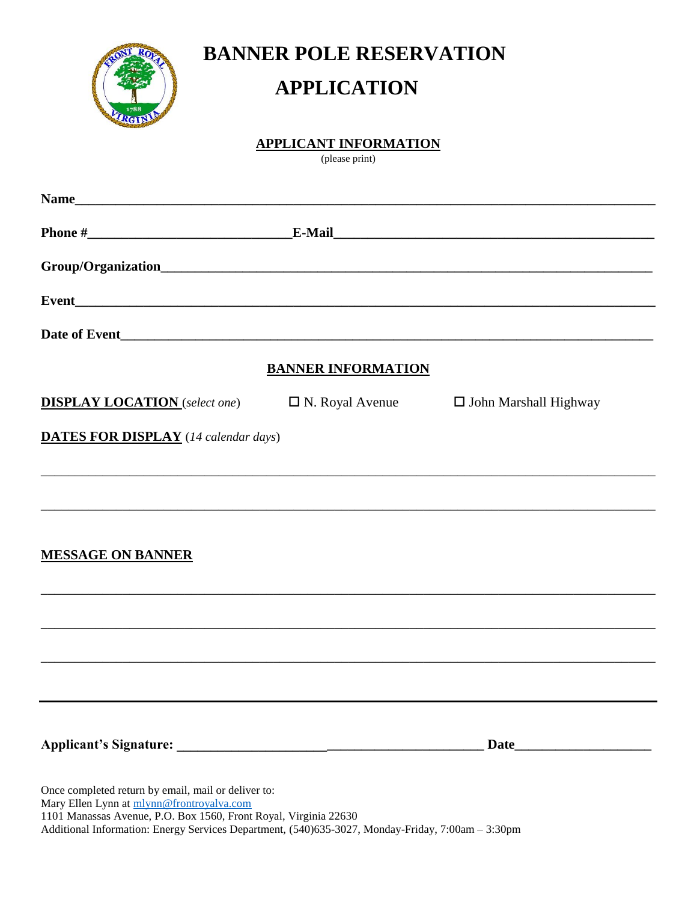

**BANNER POLE RESERVATION**

## **APPLICATION**

## **APPLICANT INFORMATION**

(please print)

|                                                                                                                                                                      | <b>BANNER INFORMATION</b> |                              |
|----------------------------------------------------------------------------------------------------------------------------------------------------------------------|---------------------------|------------------------------|
| <b>DISPLAY LOCATION</b> (select one)                                                                                                                                 | $\Box$ N. Royal Avenue    | $\Box$ John Marshall Highway |
| <b>DATES FOR DISPLAY</b> (14 calendar days)                                                                                                                          |                           |                              |
|                                                                                                                                                                      |                           |                              |
| <b>MESSAGE ON BANNER</b>                                                                                                                                             |                           |                              |
|                                                                                                                                                                      |                           |                              |
|                                                                                                                                                                      |                           |                              |
|                                                                                                                                                                      |                           |                              |
|                                                                                                                                                                      |                           | Date                         |
| Once completed return by email, mail or deliver to:<br>Mary Ellen Lynn at mlynn@frontroyalva.com<br>1101 Manassas Avenue, P.O. Box 1560, Front Royal, Virginia 22630 |                           |                              |

Additional Information: Energy Services Department, (540)635-3027, Monday-Friday, 7:00am – 3:30pm